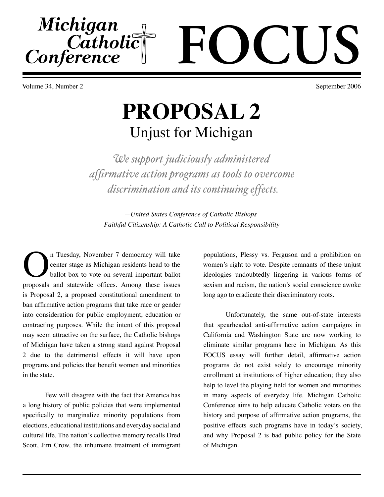Volume 34, Number 2 September 2006

Michigan

Catholic<sup>T</sup>

## **PROPOSAL 2** Unjust for Michigan

*We support judiciously administered affirmative action programs as tools to overcome discrimination and its continuing effects.*

*—United States Conference of Catholic Bishops Faithful Citizenship: A Catholic Call to Political Responsibility*

**On** Tuesday, November 7 democracy will take center stage as Michigan residents head to the ballot box to vote on several important ballot proposals and statewide offices. Among these issues center stage as Michigan residents head to the ballot box to vote on several important ballot is Proposal 2, a proposed constitutional amendment to ban affirmative action programs that take race or gender into consideration for public employment, education or contracting purposes. While the intent of this proposal may seem attractive on the surface, the Catholic bishops of Michigan have taken a strong stand against Proposal 2 due to the detrimental effects it will have upon programs and policies that benefit women and minorities in the state.

 Few will disagree with the fact that America has a long history of public policies that were implemented specifically to marginalize minority populations from elections, educational institutions and everyday social and cultural life. The nation's collective memory recalls Dred Scott, Jim Crow, the inhumane treatment of immigrant populations, Plessy vs. Ferguson and a prohibition on women's right to vote. Despite remnants of these unjust ideologies undoubtedly lingering in various forms of sexism and racism, the nation's social conscience awoke long ago to eradicate their discriminatory roots.

 Unfortunately, the same out-of-state interests that spearheaded anti-affirmative action campaigns in California and Washington State are now working to eliminate similar programs here in Michigan. As this FOCUS essay will further detail, affirmative action programs do not exist solely to encourage minority enrollment at institutions of higher education; they also help to level the playing field for women and minorities in many aspects of everyday life. Michigan Catholic Conference aims to help educate Catholic voters on the history and purpose of affirmative action programs, the positive effects such programs have in today's society, and why Proposal 2 is bad public policy for the State of Michigan.

# **FOCUS**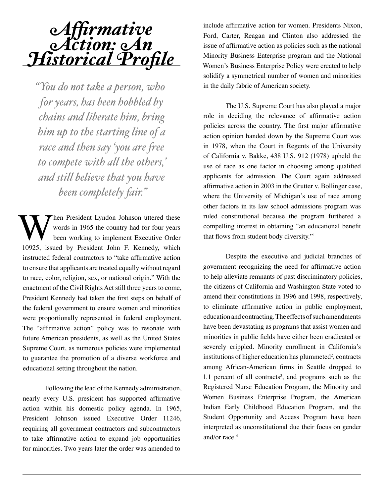### *Affirmative Action: An Historical Profile*

*"You do not take a person, who for years, has been hobbled by chains and liberate him, bring him up to the starting line of a race and then say 'you are free to compete with all the others,' and still believe that you have been completely fair."*

When President Lyndon Johnson uttered these<br>
been working to implement Executive Order<br>
10925, issued by President John F. Kennedy, which words in 1965 the country had for four years been working to implement Executive Order instructed federal contractors to "take affirmative action to ensure that applicants are treated equally without regard to race, color, religion, sex, or national origin." With the enactment of the Civil Rights Act still three years to come, President Kennedy had taken the first steps on behalf of the federal government to ensure women and minorities were proportionally represented in federal employment. The "affirmative action" policy was to resonate with future American presidents, as well as the United States Supreme Court, as numerous policies were implemented to guarantee the promotion of a diverse workforce and educational setting throughout the nation.

 Following the lead of the Kennedy administration, nearly every U.S. president has supported affirmative action within his domestic policy agenda. In 1965, President Johnson issued Executive Order 11246, requiring all government contractors and subcontractors to take affirmative action to expand job opportunities for minorities. Two years later the order was amended to

include affirmative action for women. Presidents Nixon, Ford, Carter, Reagan and Clinton also addressed the issue of affirmative action as policies such as the national Minority Business Enterprise program and the National Women's Business Enterprise Policy were created to help solidify a symmetrical number of women and minorities in the daily fabric of American society.

 The U.S. Supreme Court has also played a major role in deciding the relevance of affirmative action policies across the country. The first major affirmative action opinion handed down by the Supreme Court was in 1978, when the Court in Regents of the University of California v. Bakke, 438 U.S. 912 (1978) upheld the use of race as one factor in choosing among qualified applicants for admission. The Court again addressed affirmative action in 2003 in the Grutter v. Bollinger case, where the University of Michigan's use of race among other factors in its law school admissions program was ruled constitutional because the program furthered a compelling interest in obtaining "an educational benefit that flows from student body diversity."1

 Despite the executive and judicial branches of government recognizing the need for affirmative action to help alleviate remnants of past discriminatory policies, the citizens of California and Washington State voted to amend their constitutions in 1996 and 1998, respectively, to eliminate affirmative action in public employment, education and contracting. The effects of such amendments have been devastating as programs that assist women and minorities in public fields have either been eradicated or severely crippled. Minority enrollment in California's institutions of higher education has plummeted<sup>2</sup>, contracts among African-American firms in Seattle dropped to  $1.1$  percent of all contracts<sup>3</sup>, and programs such as the Registered Nurse Education Program, the Minority and Women Business Enterprise Program, the American Indian Early Childhood Education Program, and the Student Opportunity and Access Program have been interpreted as unconstitutional due their focus on gender and/or race.<sup>4</sup>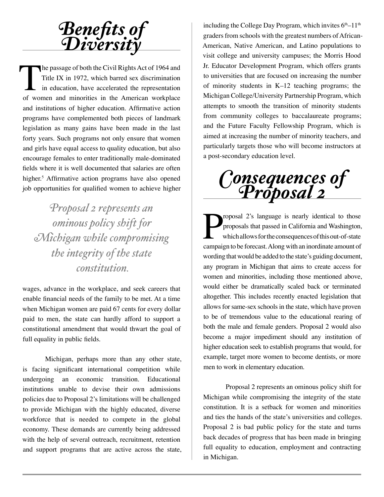

The passage of both the Civil Rights Act of 1964 and Title IX in 1972, which barred sex discrimination  $\Box$  in education, have accelerated the representation of women and minorities in the American workplace and institutions of higher education. Affirmative action programs have complemented both pieces of landmark legislation as many gains have been made in the last forty years. Such programs not only ensure that women and girls have equal access to quality education, but also encourage females to enter traditionally male-dominated fields where it is well documented that salaries are often higher.<sup>5</sup> Affirmative action programs have also opened job opportunities for qualified women to achieve higher

*Proposal 2 represents an ominous policy shift for Michigan while compromising the integrity of the state constitution.*

wages, advance in the workplace, and seek careers that enable financial needs of the family to be met. At a time when Michigan women are paid 67 cents for every dollar paid to men, the state can hardly afford to support a constitutional amendment that would thwart the goal of full equality in public fields.

 Michigan, perhaps more than any other state, is facing significant international competition while undergoing an economic transition. Educational institutions unable to devise their own admissions policies due to Proposal 2's limitations will be challenged to provide Michigan with the highly educated, diverse workforce that is needed to compete in the global economy. These demands are currently being addressed with the help of several outreach, recruitment, retention and support programs that are active across the state,

including the College Day Program, which invites  $6<sup>th</sup> - 11<sup>th</sup>$ graders from schools with the greatest numbers of African-American, Native American, and Latino populations to visit college and university campuses; the Morris Hood Jr. Educator Development Program, which offers grants to universities that are focused on increasing the number of minority students in K–12 teaching programs; the Michigan College/University Partnership Program, which attempts to smooth the transition of minority students from community colleges to baccalaureate programs; and the Future Faculty Fellowship Program, which is aimed at increasing the number of minority teachers, and particularly targets those who will become instructors at a post-secondary education level.



Proposal 2's language is nearly identical to those<br>proposals that passed in California and Washington,<br>which allows for the consequences of this out-of-state<br>campaign to be forecast. Along with an inordinate amount of proposals that passed in California and Washington, which allows for the consequences of this out-of-state campaign to be forecast. Along with an inordinate amount of wording that would be added to the state's guiding document, any program in Michigan that aims to create access for women and minorities, including those mentioned above, would either be dramatically scaled back or terminated altogether. This includes recently enacted legislation that allows for same-sex schools in the state, which have proven to be of tremendous value to the educational rearing of both the male and female genders. Proposal 2 would also become a major impediment should any institution of higher education seek to establish programs that would, for example, target more women to become dentists, or more men to work in elementary education.

 Proposal 2 represents an ominous policy shift for Michigan while compromising the integrity of the state constitution. It is a setback for women and minorities and ties the hands of the state's universities and colleges. Proposal 2 is bad public policy for the state and turns back decades of progress that has been made in bringing full equality to education, employment and contracting in Michigan.